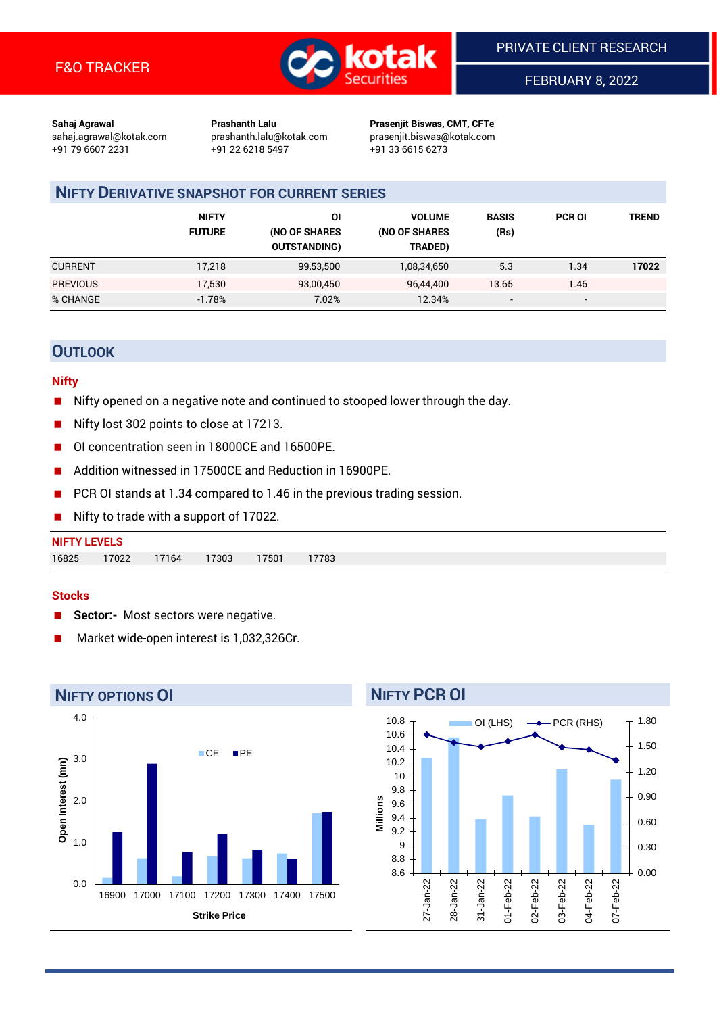

FEBRUARY 8, 2022

**Sahaj Agrawal Prashanth Lalu Prasenjit Biswas, CMT, CFTe** +91 79 6607 2231 +91 22 6218 5497 +91 33 6615 6273

sahaj.agrawal@kotak.com [prashanth.lalu@kotak.com](mailto:prashanth.lalu@kotak.com) prasenjit.biswas@kotak.com

# **NIFTY DERIVATIVE SNAPSHOT FOR CURRENT SERIES**

|                 | <b>NIFTY</b><br><b>FUTURE</b> | ΟI<br>(NO OF SHARES<br><b>OUTSTANDING)</b> | <b>VOLUME</b><br>(NO OF SHARES<br>TRADED) | <b>BASIS</b><br>(Rs)     | <b>PCR OI</b>            | TREND |
|-----------------|-------------------------------|--------------------------------------------|-------------------------------------------|--------------------------|--------------------------|-------|
| <b>CURRENT</b>  | 17,218                        | 99,53,500                                  | 1,08,34,650                               | 5.3                      | 1.34                     | 17022 |
| <b>PREVIOUS</b> | 17,530                        | 93,00,450                                  | 96.44.400                                 | 13.65                    | 1.46                     |       |
| % CHANGE        | $-1.78%$                      | 7.02%                                      | 12.34%                                    | $\overline{\phantom{a}}$ | $\overline{\phantom{0}}$ |       |

# **OUTLOOK**

## **Nifty**

- Nifty opened on a negative note and continued to stooped lower through the day.
- Nifty lost 302 points to close at 17213.
- OI concentration seen in 18000CE and 16500PE.
- Addition witnessed in 17500CE and Reduction in 16900PE.
- PCR OI stands at 1.34 compared to 1.46 in the previous trading session.
- Nifty to trade with a support of 17022.

#### **Stocks**

- **Sector:-** Most sectors were negative.
- Market wide-open interest is 1,032,326Cr.



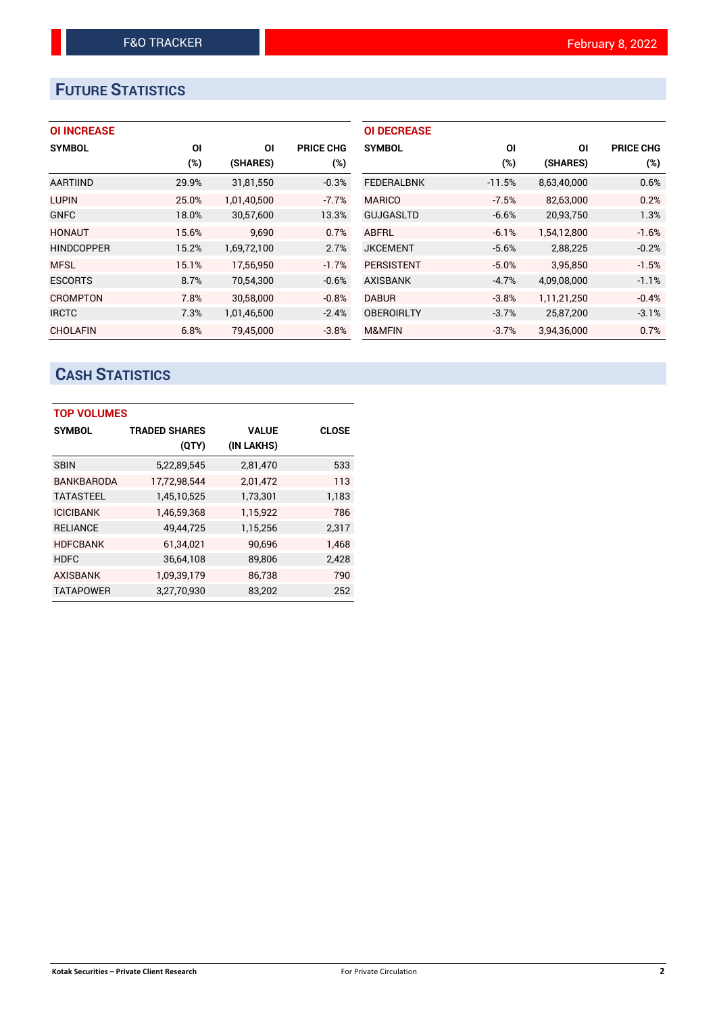# **FUTURE STATISTICS**

# **OI INCREASE**

| <b>SYMBOL</b>     | ΟI     | ΟI          | <b>PRICE CHG</b> |
|-------------------|--------|-------------|------------------|
|                   | $(\%)$ | (SHARES)    | $(\%)$           |
| AARTIIND          | 29.9%  | 31,81,550   | $-0.3%$          |
| <b>LUPIN</b>      | 25.0%  | 1,01,40,500 | $-7.7%$          |
| <b>GNFC</b>       | 18.0%  | 30,57,600   | 13.3%            |
| <b>HONAUT</b>     | 15.6%  | 9,690       | 0.7%             |
| <b>HINDCOPPER</b> | 15.2%  | 1,69,72,100 | 2.7%             |
| <b>MFSL</b>       | 15.1%  | 17,56,950   | $-1.7%$          |
| <b>ESCORTS</b>    | 8.7%   | 70,54,300   | $-0.6%$          |
| <b>CROMPTON</b>   | 7.8%   | 30,58,000   | $-0.8%$          |
| <b>IRCTC</b>      | 7.3%   | 1,01,46,500 | $-2.4%$          |
| <b>CHOLAFIN</b>   | 6.8%   | 79,45,000   | $-3.8%$          |

| <b>OI DECREASE</b> |          |             |                  |
|--------------------|----------|-------------|------------------|
| <b>SYMBOL</b>      | ΟI       | ΟI          | <b>PRICE CHG</b> |
|                    | (%)      | (SHARES)    | $(\%)$           |
| <b>FEDERALBNK</b>  | $-11.5%$ | 8,63,40,000 | 0.6%             |
| <b>MARICO</b>      | $-7.5%$  | 82,63,000   | 0.2%             |
| <b>GUJGASLTD</b>   | $-6.6%$  | 20,93,750   | 1.3%             |
| ABFRL              | $-6.1%$  | 1,54,12,800 | $-1.6%$          |
| <b>JKCEMENT</b>    | $-5.6%$  | 2,88,225    | $-0.2%$          |
| <b>PERSISTENT</b>  | $-5.0%$  | 3,95,850    | $-1.5%$          |
| <b>AXISBANK</b>    | $-4.7%$  | 4,09,08,000 | $-1.1%$          |
| <b>DABUR</b>       | $-3.8%$  | 1,11,21,250 | $-0.4%$          |
| <b>OBEROIRLTY</b>  | $-3.7%$  | 25,87,200   | $-3.1%$          |
| <b>M&amp;MFIN</b>  | $-3.7%$  | 3,94,36,000 | 0.7%             |

# **CASH STATISTICS**

| <b>TOP VOLUMES</b> |                      |              |              |  |  |  |  |  |
|--------------------|----------------------|--------------|--------------|--|--|--|--|--|
| <b>SYMBOL</b>      | <b>TRADED SHARES</b> | <b>VALUE</b> | <b>CLOSE</b> |  |  |  |  |  |
|                    | (QTY)                | (IN LAKHS)   |              |  |  |  |  |  |
| <b>SBIN</b>        | 5,22,89,545          | 2,81,470     | 533          |  |  |  |  |  |
| <b>BANKBARODA</b>  | 17,72,98,544         | 2,01,472     | 113          |  |  |  |  |  |
| <b>TATASTEEL</b>   | 1,45,10,525          | 1,73,301     | 1,183        |  |  |  |  |  |
| <b>ICICIBANK</b>   | 1,46,59,368          | 1,15,922     | 786          |  |  |  |  |  |
| <b>RELIANCE</b>    | 49,44,725            | 1,15,256     | 2,317        |  |  |  |  |  |
| <b>HDFCBANK</b>    | 61,34,021            | 90,696       | 1,468        |  |  |  |  |  |
| <b>HDFC</b>        | 36,64,108            | 89,806       | 2,428        |  |  |  |  |  |
| <b>AXISBANK</b>    | 1,09,39,179          | 86,738       | 790          |  |  |  |  |  |
| <b>TATAPOWER</b>   | 3,27,70,930          | 83,202       | 252          |  |  |  |  |  |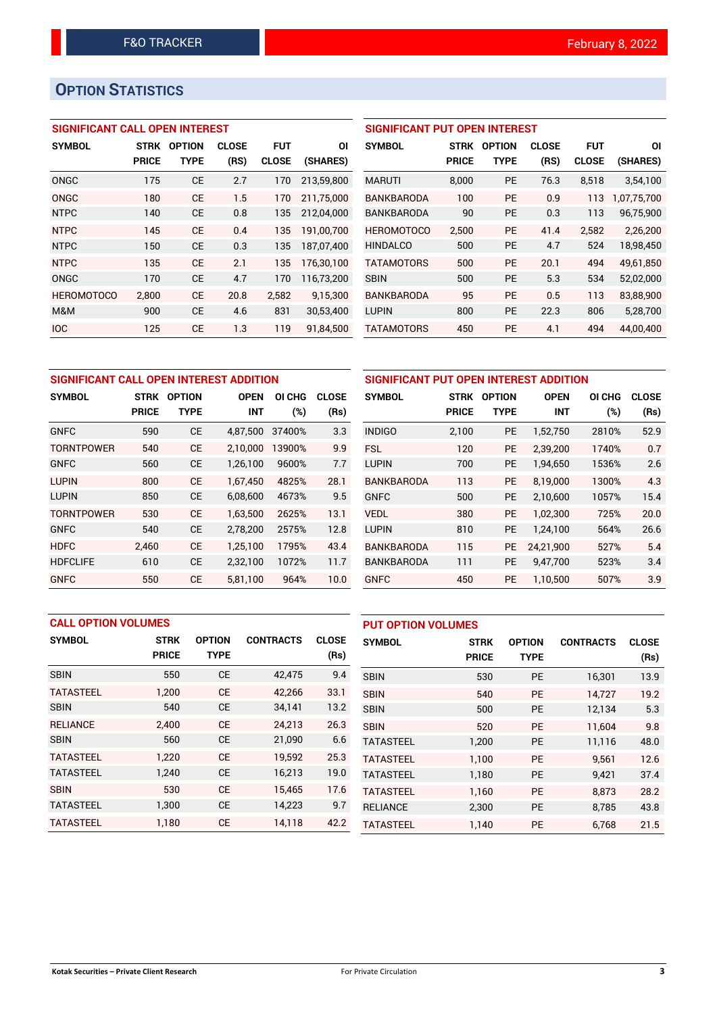# **OPTION STATISTICS**

# **SIGNIFICANT CALL OPEN INTEREST**

| <b>SYMBOL</b>     | <b>STRK</b>  | <b>OPTION</b> | <b>CLOSE</b> | <b>FUT</b>   | ΟI         |
|-------------------|--------------|---------------|--------------|--------------|------------|
|                   | <b>PRICE</b> | TYPE          | (RS)         | <b>CLOSE</b> | (SHARES)   |
| ONGC              | 175          | <b>CE</b>     | 2.7          | 170          | 213,59,800 |
| ONGC              | 180          | CE            | 1.5          | 170          | 211,75,000 |
| <b>NTPC</b>       | 140          | <b>CE</b>     | 0.8          | 135          | 212,04,000 |
| <b>NTPC</b>       | 145          | CE            | 0.4          | 135          | 191,00,700 |
| <b>NTPC</b>       | 150          | CE            | 0.3          | 135          | 187,07,400 |
| <b>NTPC</b>       | 135          | <b>CE</b>     | 2.1          | 135          | 176,30,100 |
| ONGC              | 170          | <b>CE</b>     | 4.7          | 170          | 116,73,200 |
| <b>HEROMOTOCO</b> | 2,800        | CE            | 20.8         | 2,582        | 9,15,300   |
| M&M               | 900          | CE            | 4.6          | 831          | 30,53,400  |
| <b>IOC</b>        | 125          | CE            | 1.3          | 119          | 91.84.500  |

## **SIGNIFICANT PUT OPEN INTEREST**

| <b>SYMBOL</b>     | <b>STRK</b><br><b>PRICE</b> | <b>OPTION</b><br>TYPE | <b>CLOSE</b><br>(RS) | <b>FUT</b><br><b>CLOSE</b> | ΟI<br>(SHARES) |
|-------------------|-----------------------------|-----------------------|----------------------|----------------------------|----------------|
| <b>MARUTI</b>     | 8,000                       | PF                    | 76.3                 | 8,518                      | 3,54,100       |
| <b>BANKBARODA</b> | 100                         | PF                    | 0.9                  | 113                        | 1,07,75,700    |
| <b>BANKBARODA</b> | 90                          | PF                    | 0.3                  | 113                        | 96,75,900      |
| <b>HEROMOTOCO</b> | 2.500                       | PE                    | 41.4                 | 2.582                      | 2.26.200       |
| <b>HINDALCO</b>   | 500                         | <b>PE</b>             | 4.7                  | 524                        | 18,98,450      |
| <b>TATAMOTORS</b> | 500                         | PF                    | 20.1                 | 494                        | 49.61.850      |
| <b>SBIN</b>       | 500                         | PF                    | 5.3                  | 534                        | 52,02,000      |
| <b>BANKBARODA</b> | 95                          | PF                    | 0.5                  | 113                        | 83,88,900      |
| <b>LUPIN</b>      | 800                         | PF                    | 22.3                 | 806                        | 5,28,700       |
| <b>TATAMOTORS</b> | 450                         | PE                    | 4.1                  | 494                        | 44,00,400      |

| SIGNIFICANT CALL OPEN INTEREST ADDITION |              |               |             |        |              |  |  |  |
|-----------------------------------------|--------------|---------------|-------------|--------|--------------|--|--|--|
| <b>SYMBOL</b>                           | STRK         | <b>OPTION</b> | <b>OPEN</b> | OI CHG | <b>CLOSE</b> |  |  |  |
|                                         | <b>PRICE</b> | TYPE          | <b>INT</b>  | (%)    | (Rs)         |  |  |  |
| <b>GNFC</b>                             | 590          | <b>CE</b>     | 4,87,500    | 37400% | 3.3          |  |  |  |
| <b>TORNTPOWER</b>                       | 540          | <b>CE</b>     | 2,10,000    | 13900% | 9.9          |  |  |  |
| <b>GNFC</b>                             | 560          | <b>CE</b>     | 1,26,100    | 9600%  | 7.7          |  |  |  |
| <b>LUPIN</b>                            | 800          | <b>CE</b>     | 1.67.450    | 4825%  | 28.1         |  |  |  |
| <b>LUPIN</b>                            | 850          | <b>CE</b>     | 6,08,600    | 4673%  | 9.5          |  |  |  |
| <b>TORNTPOWER</b>                       | 530          | <b>CE</b>     | 1,63,500    | 2625%  | 13.1         |  |  |  |
| <b>GNFC</b>                             | 540          | CE            | 2,78,200    | 2575%  | 12.8         |  |  |  |
| <b>HDFC</b>                             | 2,460        | <b>CE</b>     | 1,25,100    | 1795%  | 43.4         |  |  |  |
| <b>HDFCLIFE</b>                         | 610          | CE            | 2,32,100    | 1072%  | 11.7         |  |  |  |
| <b>GNFC</b>                             | 550          | СE            | 5,81,100    | 964%   | 10.0         |  |  |  |

| SIGNIFICANT PUT OPEN INTEREST ADDITION |             |               |             |       |              |  |  |  |
|----------------------------------------|-------------|---------------|-------------|-------|--------------|--|--|--|
| <b>SYMBOL</b>                          | <b>STRK</b> | <b>OPTION</b> | <b>OPEN</b> |       | <b>CLOSE</b> |  |  |  |
|                                        | PRICE       | <b>TYPE</b>   | <b>INT</b>  | (%)   | (Rs)         |  |  |  |
| <b>INDIGO</b>                          | 2,100       | <b>PE</b>     | 1,52,750    | 2810% | 52.9         |  |  |  |
| FSL                                    | 120         | <b>PE</b>     | 2,39,200    | 1740% | 0.7          |  |  |  |
| <b>LUPIN</b>                           | 700         | <b>PE</b>     | 1,94,650    | 1536% | 2.6          |  |  |  |
| <b>BANKBARODA</b>                      | 113         | PE            | 8,19,000    | 1300% | 4.3          |  |  |  |
| <b>GNFC</b>                            | 500         | <b>PE</b>     | 2,10,600    | 1057% | 15.4         |  |  |  |
| <b>VEDL</b>                            | 380         | <b>PE</b>     | 1,02,300    | 725%  | 20.0         |  |  |  |
| <b>LUPIN</b>                           | 810         | <b>PE</b>     | 1,24,100    | 564%  | 26.6         |  |  |  |
| <b>BANKBARODA</b>                      | 115         | <b>PE</b>     | 24,21,900   | 527%  | 5.4          |  |  |  |
| <b>BANKBARODA</b>                      | 111         | <b>PE</b>     | 9,47,700    | 523%  | 3.4          |  |  |  |
| <b>GNFC</b>                            | 450         | <b>PE</b>     | 1,10,500    | 507%  | 3.9          |  |  |  |

| <b>CALL OPTION VOLUMES</b> |              |               |                  | <b>PUT OPTION VOLUMES</b> |                  |              |               |                  |              |
|----------------------------|--------------|---------------|------------------|---------------------------|------------------|--------------|---------------|------------------|--------------|
| <b>SYMBOL</b>              | <b>STRK</b>  | <b>OPTION</b> | <b>CONTRACTS</b> | <b>CLOSE</b>              | <b>SYMBOL</b>    | <b>STRK</b>  | <b>OPTION</b> | <b>CONTRACTS</b> | <b>CLOSE</b> |
|                            | <b>PRICE</b> | <b>TYPE</b>   |                  | (Rs)                      |                  | <b>PRICE</b> | <b>TYPE</b>   |                  | (Rs)         |
| <b>SBIN</b>                | 550          | <b>CE</b>     | 42,475           | 9.4                       | <b>SBIN</b>      | 530          | <b>PE</b>     | 16,301           | 13.9         |
| <b>TATASTEEL</b>           | 1,200        | <b>CE</b>     | 42.266           | 33.1                      | <b>SBIN</b>      | 540          | <b>PE</b>     | 14.727           | 19.2         |
| <b>SBIN</b>                | 540          | <b>CE</b>     | 34,141           | 13.2                      | <b>SBIN</b>      | 500          | <b>PE</b>     | 12,134           | 5.3          |
| <b>RELIANCE</b>            | 2.400        | <b>CE</b>     | 24.213           | 26.3                      | <b>SBIN</b>      | 520          | <b>PE</b>     | 11,604           | 9.8          |
| <b>SBIN</b>                | 560          | <b>CE</b>     | 21,090           | 6.6                       | <b>TATASTEEL</b> | 1,200        | <b>PE</b>     | 11,116           | 48.0         |
| <b>TATASTEEL</b>           | 1,220        | <b>CE</b>     | 19,592           | 25.3                      | <b>TATASTEEL</b> | 1.100        | <b>PE</b>     | 9.561            | 12.6         |
| <b>TATASTEEL</b>           | 1,240        | <b>CE</b>     | 16,213           | 19.0                      | <b>TATASTEEL</b> | 1,180        | <b>PE</b>     | 9,421            | 37.4         |
| <b>SBIN</b>                | 530          | <b>CE</b>     | 15.465           | 17.6                      | <b>TATASTEEL</b> | 1.160        | <b>PE</b>     | 8.873            | 28.2         |
| <b>TATASTEEL</b>           | 1,300        | <b>CE</b>     | 14,223           | 9.7                       | <b>RELIANCE</b>  | 2,300        | <b>PE</b>     | 8,785            | 43.8         |
| <b>TATASTEEL</b>           | 1.180        | <b>CE</b>     | 14,118           | 42.2                      | <b>TATASTEEL</b> | 1.140        | PE            | 6,768            | 21.5         |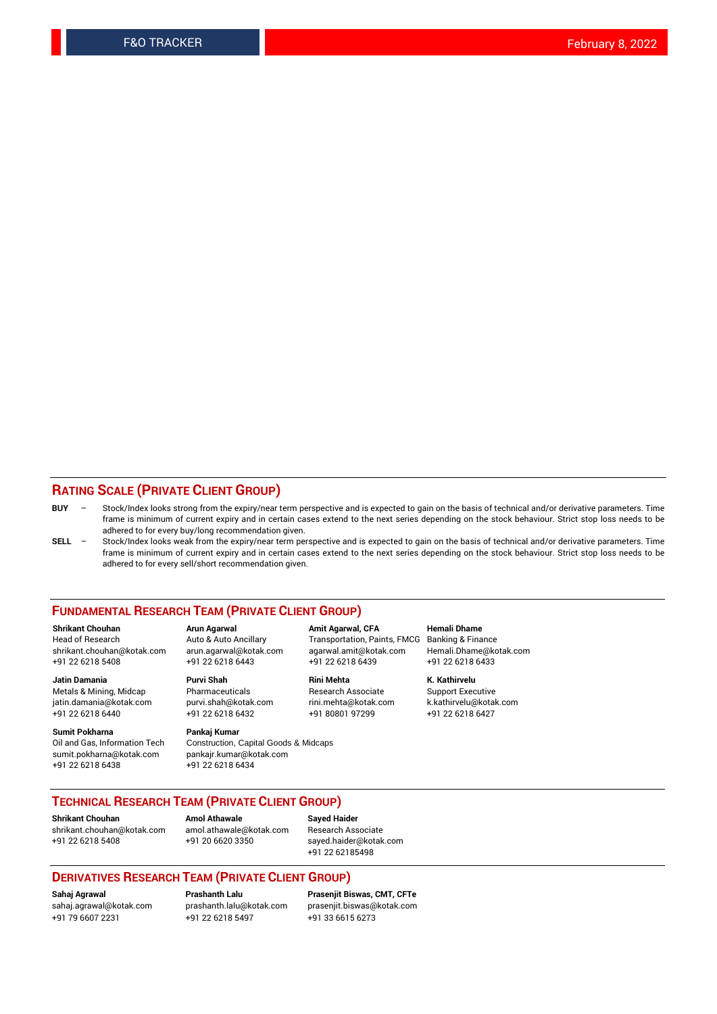## **RATING SCALE (PRIVATE CLIENT GROUP)**

- **BUY**  Stock/Index looks strong from the expiry/near term perspective and is expected to gain on the basis of technical and/or derivative parameters. Time frame is minimum of current expiry and in certain cases extend to the next series depending on the stock behaviour. Strict stop loss needs to be adhered to for every buy/long recommendation given.
- **SELL** Stock/Index looks weak from the expiry/near term perspective and is expected to gain on the basis of technical and/or derivative parameters. Time frame is minimum of current expiry and in certain cases extend to the next series depending on the stock behaviour. Strict stop loss needs to be adhered to for every sell/short recommendation given.

#### **FUNDAMENTAL RESEARCH TEAM (PRIVATE CLIENT GROUP)**

**Shrikant Chouhan Arun Agarwal Amit Agarwal, CFA Hemali Dhame** shrikant.chouhan@kotak.com arun.agarwal@kotak.com agarwal.amit@kotak.com Hemali.Dhame@kotak.com +91 22 6218 5408 +91 22 6218 6443 +91 22 6218 6439 +91 22 6218 6433

Metals & Mining, Midcap Pharmaceuticals Pharmaceuticals Research Associate Support Executive<br>
iatin.damania@kotak.com purvi.shah@kotak.com rini.mehta@kotak.com k.kathirvelu@kotak.com jatin.damania@kotak.com

**Sumit Pokharna** Pankaj Kumar<br>Oil and Gas, Information Tech Construction, sumit.pokharna@kotak.com pankajr.kumar@kotak.com

Construction, Capital Goods & Midcaps +91 22 6218 6438 +91 22 6218 6434

Transportation, Paints, FMCG

**Jatin Damania Purvi Shah Rini Mehta K. Kathirvelu** +91 22 6218 6440 +91 22 6218 6432 +91 80801 97299 +91 22 6218 6427

## **TECHNICAL RESEARCH TEAM (PRIVATE CLIENT GROUP)**

**Shrikant Chouhan Amol Athawale Sayed Haider** [shrikant.chouhan@kotak.com](mailto:shrikant.chouhan@kotak.com) [amol.athawale@kotak.com](mailto:amol.athawale@kotak.com) Research Associate +91 22 6218 5408 +91 20 6620 3350 [sayed.haider@kotak.com](mailto:sayed.haider@kotak.com)

+91 22 62185498

#### **DERIVATIVES RESEARCH TEAM (PRIVATE CLIENT GROUP)**

+91 79 6607 2231 +91 22 6218 5497 +91 33 6615 6273

**Sahaj Agrawal Prashanth Lalu Prasenjit Biswas, CMT, CFTe** [prasenjit.biswas@kotak.com](mailto:prasenjit.biswas@kotak.com)